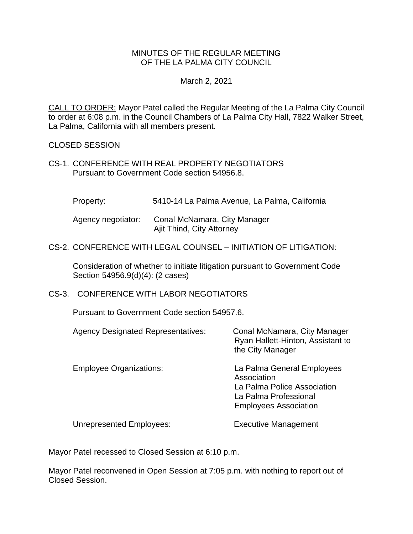#### MINUTES OF THE REGULAR MEETING OF THE LA PALMA CITY COUNCIL

#### March 2, 2021

CALL TO ORDER: [Mayor Patel called the Regular Meeting of the La Palma City Council](https://lapalma.granicus.com/MediaPlayer.php?view_id=&clip_id=1257&meta_id=168714)  [to order at 6:08 p.m. in the Council Chambers of La Palma City Hall, 7822 Walker Street,](https://lapalma.granicus.com/MediaPlayer.php?view_id=&clip_id=1257&meta_id=168714)  [La Palma, California with all members present.](https://lapalma.granicus.com/MediaPlayer.php?view_id=&clip_id=1257&meta_id=168714)

#### [CLOSED SESSION](https://lapalma.granicus.com/MediaPlayer.php?view_id=&clip_id=1257&meta_id=168715)

CS-1. CONFERENCE WITH REAL PROPERTY NEGOTIATORS Pursuant to Government Code section 54956.8.

Property: 5410-14 La Palma Avenue, La Palma, California

| Agency negotiator: | Conal McNamara, City Manager |
|--------------------|------------------------------|
|                    | Ajit Thind, City Attorney    |

#### CS-2. CONFERENCE WITH LEGAL COUNSEL – INITIATION OF LITIGATION:

Consideration of whether to initiate litigation pursuant to Government Code Section 54956.9(d)(4): (2 cases)

#### CS-3. CONFERENCE WITH LABOR NEGOTIATORS

Pursuant to Government Code section 54957.6.

| <b>Agency Designated Representatives:</b> | Conal McNamara, City Manager<br>Ryan Hallett-Hinton, Assistant to<br>the City Manager                                             |
|-------------------------------------------|-----------------------------------------------------------------------------------------------------------------------------------|
| <b>Employee Organizations:</b>            | La Palma General Employees<br>Association<br>La Palma Police Association<br>La Palma Professional<br><b>Employees Association</b> |
| <b>Unrepresented Employees:</b>           | <b>Executive Management</b>                                                                                                       |

Mayor Patel recessed to Closed Session at 6:10 p.m.

Mayor Patel reconvened in Open Session at 7:05 p.m. with nothing to report out of Closed Session.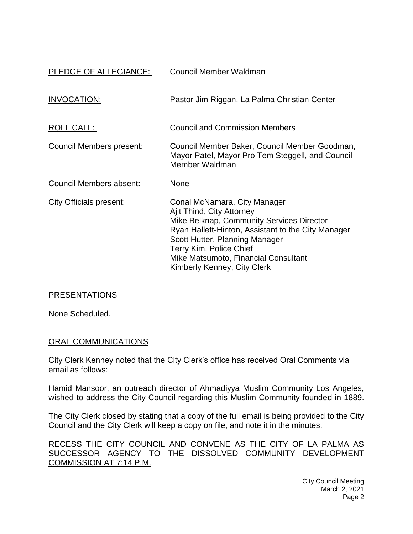| PLEDGE OF ALLEGIANCE:    | Council Member Waldman                                                                                                                                                                                                                                                                           |
|--------------------------|--------------------------------------------------------------------------------------------------------------------------------------------------------------------------------------------------------------------------------------------------------------------------------------------------|
| INVOCATION:              | Pastor Jim Riggan, La Palma Christian Center                                                                                                                                                                                                                                                     |
| <u>ROLL CALL:</u>        | <b>Council and Commission Members</b>                                                                                                                                                                                                                                                            |
| Council Members present: | Council Member Baker, Council Member Goodman,<br>Mayor Patel, Mayor Pro Tem Steggell, and Council<br>Member Waldman                                                                                                                                                                              |
| Council Members absent:  | None                                                                                                                                                                                                                                                                                             |
| City Officials present:  | Conal McNamara, City Manager<br>Ajit Thind, City Attorney<br>Mike Belknap, Community Services Director<br>Ryan Hallett-Hinton, Assistant to the City Manager<br>Scott Hutter, Planning Manager<br>Terry Kim, Police Chief<br>Mike Matsumoto, Financial Consultant<br>Kimberly Kenney, City Clerk |

## **[PRESENTATIONS](https://lapalma.granicus.com/MediaPlayer.php?view_id=&clip_id=1257&meta_id=168722)**

None Scheduled.

#### [ORAL COMMUNICATIONS](https://lapalma.granicus.com/MediaPlayer.php?view_id=&clip_id=1257&meta_id=168723)

City Clerk Kenney noted that the City Clerk's office has received Oral Comments via email as follows:

Hamid Mansoor, an outreach director of Ahmadiyya Muslim Community Los Angeles, wished to address the City Council regarding this Muslim Community founded in 1889.

The City Clerk closed by stating that a copy of the full email is being provided to the City Council and the City Clerk will keep a copy on file, and note it in the minutes.

[RECESS THE CITY COUNCIL AND CONVENE AS THE CITY OF LA PALMA AS](https://lapalma.granicus.com/MediaPlayer.php?view_id=&clip_id=1257&meta_id=168724)  [SUCCESSOR AGENCY TO THE DISSOLVED COMMUNITY DEVELOPMENT](https://lapalma.granicus.com/MediaPlayer.php?view_id=&clip_id=1257&meta_id=168724)  [COMMISSION AT 7:14 P.M.](https://lapalma.granicus.com/MediaPlayer.php?view_id=&clip_id=1257&meta_id=168724)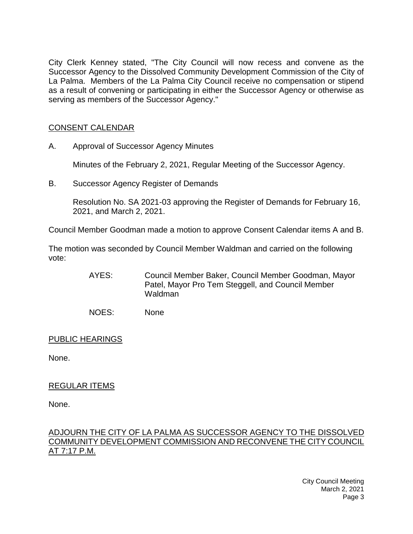[City Clerk Kenney stated, "The City Council will now recess and convene as the](https://lapalma.granicus.com/MediaPlayer.php?view_id=&clip_id=1257&meta_id=168725)  [Successor Agency to the Dissolved Community Development Commission of the City of](https://lapalma.granicus.com/MediaPlayer.php?view_id=&clip_id=1257&meta_id=168725)  La Palma. [Members of the La Palma City Council receive no compensation or stipend](https://lapalma.granicus.com/MediaPlayer.php?view_id=&clip_id=1257&meta_id=168725)  [as a result of convening or participating in either the Successor Agency or otherwise as](https://lapalma.granicus.com/MediaPlayer.php?view_id=&clip_id=1257&meta_id=168725)  [serving as members of the Successor Agency."](https://lapalma.granicus.com/MediaPlayer.php?view_id=&clip_id=1257&meta_id=168725)

## [CONSENT CALENDAR](https://lapalma.granicus.com/MediaPlayer.php?view_id=&clip_id=1257&meta_id=168726)

A. Approval of Successor Agency Minutes

Minutes of the February 2, 2021, Regular Meeting of the Successor Agency.

B. Successor Agency Register of Demands

Resolution No. SA 2021-03 approving the Register of Demands for February 16, 2021, and March 2, 2021.

Council Member Goodman made a motion to approve Consent Calendar items A and B.

The motion was seconded by Council Member Waldman and carried on the following vote:

> AYES: Council Member Baker, Council Member Goodman, Mayor Patel, Mayor Pro Tem Steggell, and Council Member Waldman

NOES: None

PUBLIC HEARINGS

None.

## REGULAR ITEMS

None.

#### [ADJOURN THE CITY OF LA PALMA AS SUCCESSOR AGENCY TO THE DISSOLVED](https://lapalma.granicus.com/MediaPlayer.php?view_id=&clip_id=1257&meta_id=168731)  [COMMUNITY DEVELOPMENT COMMISSION AND RECONVENE THE CITY COUNCIL](https://lapalma.granicus.com/MediaPlayer.php?view_id=&clip_id=1257&meta_id=168731)  [AT 7:17 P.M.](https://lapalma.granicus.com/MediaPlayer.php?view_id=&clip_id=1257&meta_id=168731)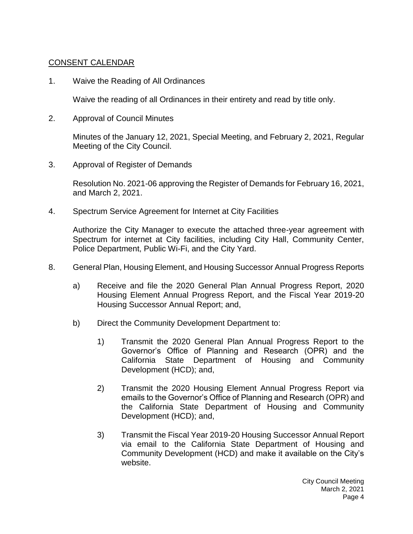## [CONSENT CALENDAR](https://lapalma.granicus.com/MediaPlayer.php?view_id=&clip_id=1257&meta_id=168733)

1. Waive the Reading of All Ordinances

Waive the reading of all Ordinances in their entirety and read by title only.

2. Approval of Council Minutes

Minutes of the January 12, 2021, Special Meeting, and February 2, 2021, Regular Meeting of the City Council.

3. Approval of Register of Demands

Resolution No. 2021-06 approving the Register of Demands for February 16, 2021, and March 2, 2021.

4. Spectrum Service Agreement for Internet at City Facilities

Authorize the City Manager to execute the attached three-year agreement with Spectrum for internet at City facilities, including City Hall, Community Center, Police Department, Public Wi-Fi, and the City Yard.

- 8. General Plan, Housing Element, and Housing Successor Annual Progress Reports
	- a) Receive and file the 2020 General Plan Annual Progress Report, 2020 Housing Element Annual Progress Report, and the Fiscal Year 2019-20 Housing Successor Annual Report; and,
	- b) Direct the Community Development Department to:
		- 1) Transmit the 2020 General Plan Annual Progress Report to the Governor's Office of Planning and Research (OPR) and the California State Department of Housing and Community Development (HCD); and,
		- 2) Transmit the 2020 Housing Element Annual Progress Report via emails to the Governor's Office of Planning and Research (OPR) and the California State Department of Housing and Community Development (HCD); and,
		- 3) Transmit the Fiscal Year 2019-20 Housing Successor Annual Report via email to the California State Department of Housing and Community Development (HCD) and make it available on the City's website.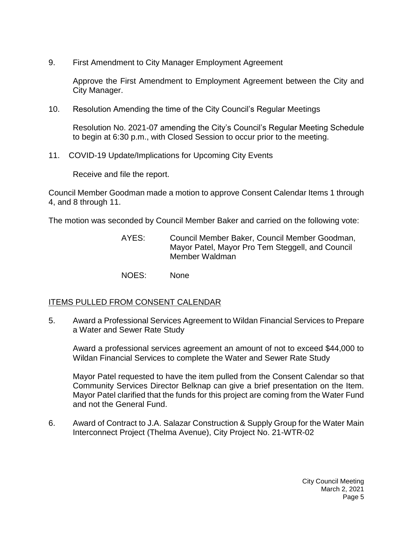9. First Amendment to City Manager Employment Agreement

Approve the First Amendment to Employment Agreement between the City and City Manager.

10. Resolution Amending the time of the City Council's Regular Meetings

Resolution No. 2021-07 amending the City's Council's Regular Meeting Schedule to begin at 6:30 p.m., with Closed Session to occur prior to the meeting.

11. COVID-19 Update/Implications for Upcoming City Events

Receive and file the report.

Council Member Goodman made a motion to approve Consent Calendar Items 1 through 4, and 8 through 11.

The motion was seconded by Council Member Baker and carried on the following vote:

AYES: Council Member Baker, Council Member Goodman, Mayor Patel, Mayor Pro Tem Steggell, and Council Member Waldman

NOES: None

## ITEMS PULLED FROM CONSENT CALENDAR

5. [Award a Professional Services Agreement to Wildan Financial Services to Prepare](https://lapalma.granicus.com/MediaPlayer.php?view_id=&clip_id=1257&meta_id=168738)  [a Water and Sewer Rate Study](https://lapalma.granicus.com/MediaPlayer.php?view_id=&clip_id=1257&meta_id=168738)

Award a professional services agreement an amount of not to exceed \$44,000 to Wildan Financial Services to complete the Water and Sewer Rate Study

Mayor Patel requested to have the item pulled from the Consent Calendar so that Community Services Director Belknap can give a brief presentation on the Item. Mayor Patel clarified that the funds for this project are coming from the Water Fund and not the General Fund.

6. [Award of Contract to J.A. Salazar Construction & Supply Group for the Water Main](https://lapalma.granicus.com/MediaPlayer.php?view_id=&clip_id=1257&meta_id=168739)  [Interconnect Project \(Thelma Avenue\), City Project No. 21-WTR-02](https://lapalma.granicus.com/MediaPlayer.php?view_id=&clip_id=1257&meta_id=168739)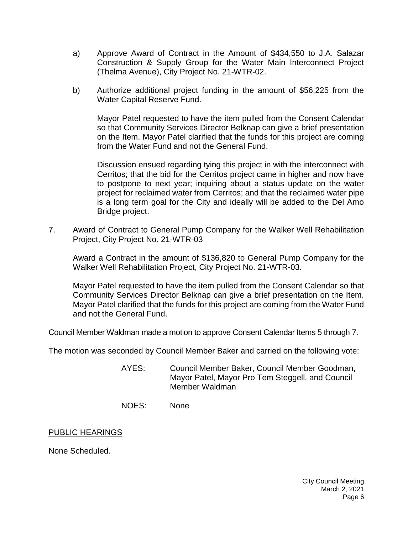- a) Approve Award of Contract in the Amount of \$434,550 to J.A. Salazar Construction & Supply Group for the Water Main Interconnect Project (Thelma Avenue), City Project No. 21-WTR-02.
- b) Authorize additional project funding in the amount of \$56,225 from the Water Capital Reserve Fund.

Mayor Patel requested to have the item pulled from the Consent Calendar so that Community Services Director Belknap can give a brief presentation on the Item. Mayor Patel clarified that the funds for this project are coming from the Water Fund and not the General Fund.

Discussion ensued regarding tying this project in with the interconnect with Cerritos; that the bid for the Cerritos project came in higher and now have to postpone to next year; inquiring about a status update on the water project for reclaimed water from Cerritos; and that the reclaimed water pipe is a long term goal for the City and ideally will be added to the Del Amo Bridge project.

7. [Award of Contract to General Pump Company for the Walker Well Rehabilitation](https://lapalma.granicus.com/MediaPlayer.php?view_id=&clip_id=1257&meta_id=168742)  [Project, City Project No. 21-WTR-03](https://lapalma.granicus.com/MediaPlayer.php?view_id=&clip_id=1257&meta_id=168742)

Award a Contract in the amount of \$136,820 to General Pump Company for the Walker Well Rehabilitation Project, City Project No. 21-WTR-03.

Mayor Patel requested to have the item pulled from the Consent Calendar so that Community Services Director Belknap can give a brief presentation on the Item. Mayor Patel clarified that the funds for this project are coming from the Water Fund and not the General Fund.

Council Member Waldman made a motion to approve Consent Calendar Items 5 through 7.

The motion was seconded by Council Member Baker and carried on the following vote:

- AYES: Council Member Baker, Council Member Goodman, Mayor Patel, Mayor Pro Tem Steggell, and Council Member Waldman
- NOES: None

#### PUBLIC HEARINGS

None Scheduled.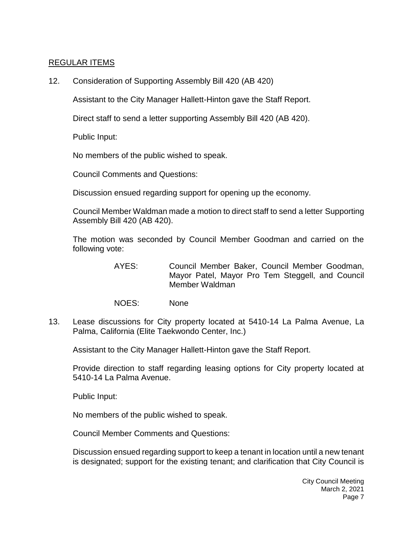## [REGULAR ITEMS](https://lapalma.granicus.com/MediaPlayer.php?view_id=&clip_id=1257&meta_id=168753)

12. [Consideration of Supporting Assembly Bill 420 \(AB 420\)](https://lapalma.granicus.com/MediaPlayer.php?view_id=&clip_id=1257&meta_id=168754)

Assistant to the City Manager Hallett-Hinton gave the Staff Report.

Direct staff to send a letter supporting Assembly Bill 420 (AB 420).

Public Input:

No members of the public wished to speak.

Council Comments and Questions:

Discussion ensued regarding support for opening up the economy.

Council Member Waldman made a motion to direct staff to send a letter Supporting Assembly Bill 420 (AB 420).

The motion was seconded by Council Member Goodman and carried on the following vote:

- AYES: Council Member Baker, Council Member Goodman, Mayor Patel, Mayor Pro Tem Steggell, and Council Member Waldman
- NOES: None
- 13. [Lease discussions for City property located at 5410-14 La Palma Avenue, La](https://lapalma.granicus.com/MediaPlayer.php?view_id=&clip_id=1257&meta_id=168755)  [Palma, California \(Elite Taekwondo Center, Inc.\)](https://lapalma.granicus.com/MediaPlayer.php?view_id=&clip_id=1257&meta_id=168755)

Assistant to the City Manager Hallett-Hinton gave the Staff Report.

Provide direction to staff regarding leasing options for City property located at 5410-14 La Palma Avenue.

Public Input:

No members of the public wished to speak.

Council Member Comments and Questions:

Discussion ensued regarding support to keep a tenant in location until a new tenant is designated; support for the existing tenant; and clarification that City Council is

> City Council Meeting March 2, 2021 Page 7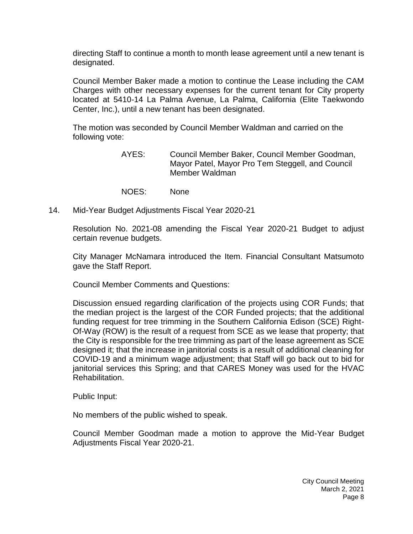directing Staff to continue a month to month lease agreement until a new tenant is designated.

Council Member Baker made a motion to continue the Lease including the CAM Charges with other necessary expenses for the current tenant for City property located at 5410-14 La Palma Avenue, La Palma, California (Elite Taekwondo Center, Inc.), until a new tenant has been designated.

The motion was seconded by Council Member Waldman and carried on the following vote:

- AYES: Council Member Baker, Council Member Goodman, Mayor Patel, Mayor Pro Tem Steggell, and Council Member Waldman
- NOES: None
- 14. [Mid-Year Budget Adjustments Fiscal Year 2020-21](https://lapalma.granicus.com/MediaPlayer.php?view_id=&clip_id=1257&meta_id=168756)

Resolution No. 2021-08 amending the Fiscal Year 2020-21 Budget to adjust certain revenue budgets.

City Manager McNamara introduced the Item. Financial Consultant Matsumoto gave the Staff Report.

Council Member Comments and Questions:

Discussion ensued regarding clarification of the projects using COR Funds; that the median project is the largest of the COR Funded projects; that the additional funding request for tree trimming in the Southern California Edison (SCE) Right-Of-Way (ROW) is the result of a request from SCE as we lease that property; that the City is responsible for the tree trimming as part of the lease agreement as SCE designed it; that the increase in janitorial costs is a result of additional cleaning for COVID-19 and a minimum wage adjustment; that Staff will go back out to bid for janitorial services this Spring; and that CARES Money was used for the HVAC Rehabilitation.

Public Input:

No members of the public wished to speak.

Council Member Goodman made a motion to approve the Mid-Year Budget Adjustments Fiscal Year 2020-21.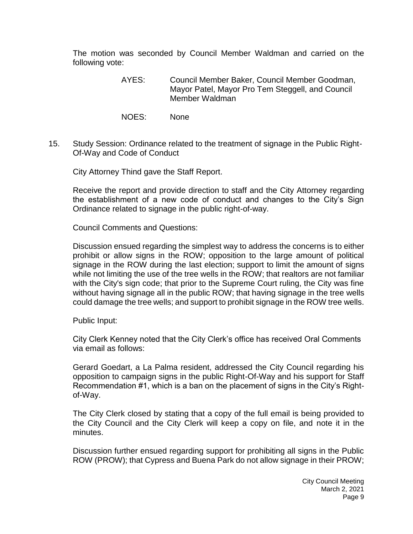The motion was seconded by Council Member Waldman and carried on the following vote:

- AYES: Council Member Baker, Council Member Goodman, Mayor Patel, Mayor Pro Tem Steggell, and Council Member Waldman
- NOES: None
- 15. [Study Session: Ordinance related to the treatment of signage in the Public Right-](https://lapalma.granicus.com/MediaPlayer.php?view_id=&clip_id=1257&meta_id=168757)[Of-Way and Code of Conduct](https://lapalma.granicus.com/MediaPlayer.php?view_id=&clip_id=1257&meta_id=168757)

City Attorney Thind gave the Staff Report.

Receive the report and provide direction to staff and the City Attorney regarding the establishment of a new code of conduct and changes to the City's Sign Ordinance related to signage in the public right-of-way.

Council Comments and Questions:

Discussion ensued regarding the simplest way to address the concerns is to either prohibit or allow signs in the ROW; opposition to the large amount of political signage in the ROW during the last election; support to limit the amount of signs while not limiting the use of the tree wells in the ROW; that realtors are not familiar with the City's sign code; that prior to the Supreme Court ruling, the City was fine without having signage all in the public ROW; that having signage in the tree wells could damage the tree wells; and support to prohibit signage in the ROW tree wells.

Public Input:

City Clerk Kenney noted that the City Clerk's office has received Oral Comments via email as follows:

Gerard Goedart, a La Palma resident, addressed the City Council regarding his opposition to campaign signs in the public Right-Of-Way and his support for Staff Recommendation #1, which is a ban on the placement of signs in the City's Rightof-Way.

The City Clerk closed by stating that a copy of the full email is being provided to the City Council and the City Clerk will keep a copy on file, and note it in the minutes.

Discussion further ensued regarding support for prohibiting all signs in the Public ROW (PROW); that Cypress and Buena Park do not allow signage in their PROW;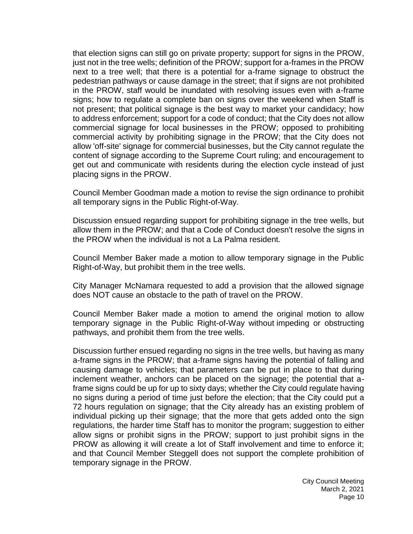that election signs can still go on private property; support for signs in the PROW, just not in the tree wells; definition of the PROW; support for a-frames in the PROW next to a tree well; that there is a potential for a-frame signage to obstruct the pedestrian pathways or cause damage in the street; that if signs are not prohibited in the PROW, staff would be inundated with resolving issues even with a-frame signs; how to regulate a complete ban on signs over the weekend when Staff is not present; that political signage is the best way to market your candidacy; how to address enforcement; support for a code of conduct; that the City does not allow commercial signage for local businesses in the PROW; opposed to prohibiting commercial activity by prohibiting signage in the PROW; that the City does not allow 'off-site' signage for commercial businesses, but the City cannot regulate the content of signage according to the Supreme Court ruling; and encouragement to get out and communicate with residents during the election cycle instead of just placing signs in the PROW.

Council Member Goodman made a motion to revise the sign ordinance to prohibit all temporary signs in the Public Right-of-Way.

Discussion ensued regarding support for prohibiting signage in the tree wells, but allow them in the PROW; and that a Code of Conduct doesn't resolve the signs in the PROW when the individual is not a La Palma resident.

Council Member Baker made a motion to allow temporary signage in the Public Right-of-Way, but prohibit them in the tree wells.

City Manager McNamara requested to add a provision that the allowed signage does NOT cause an obstacle to the path of travel on the PROW.

Council Member Baker made a motion to amend the original motion to allow temporary signage in the Public Right-of-Way without impeding or obstructing pathways, and prohibit them from the tree wells.

Discussion further ensued regarding no signs in the tree wells, but having as many a-frame signs in the PROW; that a-frame signs having the potential of falling and causing damage to vehicles; that parameters can be put in place to that during inclement weather, anchors can be placed on the signage; the potential that aframe signs could be up for up to sixty days; whether the City could regulate having no signs during a period of time just before the election; that the City could put a 72 hours regulation on signage; that the City already has an existing problem of individual picking up their signage; that the more that gets added onto the sign regulations, the harder time Staff has to monitor the program; suggestion to either allow signs or prohibit signs in the PROW; support to just prohibit signs in the PROW as allowing it will create a lot of Staff involvement and time to enforce it; and that Council Member Steggell does not support the complete prohibition of temporary signage in the PROW.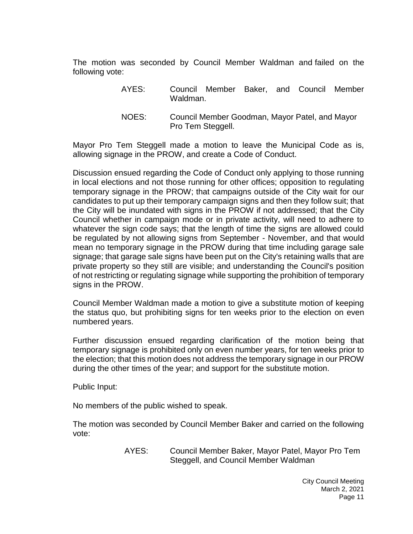The motion was seconded by Council Member Waldman and failed on the following vote:

- AYES: Council Member Baker, and Council Member Waldman.
- NOES: Council Member Goodman, Mayor Patel, and Mayor Pro Tem Steggell.

Mayor Pro Tem Steggell made a motion to leave the Municipal Code as is, allowing signage in the PROW, and create a Code of Conduct.

Discussion ensued regarding the Code of Conduct only applying to those running in local elections and not those running for other offices; opposition to regulating temporary signage in the PROW; that campaigns outside of the City wait for our candidates to put up their temporary campaign signs and then they follow suit; that the City will be inundated with signs in the PROW if not addressed; that the City Council whether in campaign mode or in private activity, will need to adhere to whatever the sign code says; that the length of time the signs are allowed could be regulated by not allowing signs from September - November, and that would mean no temporary signage in the PROW during that time including garage sale signage; that garage sale signs have been put on the City's retaining walls that are private property so they still are visible; and understanding the Council's position of not restricting or regulating signage while supporting the prohibition of temporary signs in the PROW.

Council Member Waldman made a motion to give a substitute motion of keeping the status quo, but prohibiting signs for ten weeks prior to the election on even numbered years.

Further discussion ensued regarding clarification of the motion being that temporary signage is prohibited only on even number years, for ten weeks prior to the election; that this motion does not address the temporary signage in our PROW during the other times of the year; and support for the substitute motion.

Public Input:

No members of the public wished to speak.

The motion was seconded by Council Member Baker and carried on the following vote:

> AYES: Council Member Baker, Mayor Patel, Mayor Pro Tem Steggell, and Council Member Waldman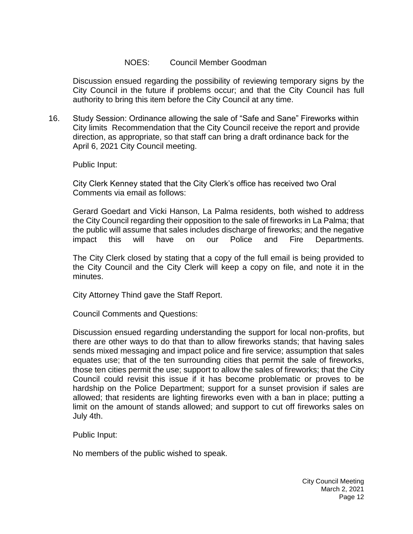### NOES: Council Member Goodman

Discussion ensued regarding the possibility of reviewing temporary signs by the City Council in the future if problems occur; and that the City Council has full authority to bring this item before the City Council at any time.

16. [Study Session: Ordinance allowing the sale of "Safe and Sane" Fireworks within](https://lapalma.granicus.com/MediaPlayer.php?view_id=&clip_id=1257&meta_id=168758)  City limits [Recommendation that the City Council receive the report and provide](https://lapalma.granicus.com/MediaPlayer.php?view_id=&clip_id=1257&meta_id=168758)  [direction, as appropriate, so that staff can bring a draft ordinance back for the](https://lapalma.granicus.com/MediaPlayer.php?view_id=&clip_id=1257&meta_id=168758)  [April 6, 2021 City Council meeting.](https://lapalma.granicus.com/MediaPlayer.php?view_id=&clip_id=1257&meta_id=168758)

Public Input:

City Clerk Kenney stated that the City Clerk's office has received two Oral Comments via email as follows:

Gerard Goedart and Vicki Hanson, La Palma residents, both wished to address the City Council regarding their opposition to the sale of fireworks in La Palma; that the public will assume that sales includes discharge of fireworks; and the negative impact this will have on our Police and Fire Departments.

The City Clerk closed by stating that a copy of the full email is being provided to the City Council and the City Clerk will keep a copy on file, and note it in the minutes.

City Attorney Thind gave the Staff Report.

Council Comments and Questions:

Discussion ensued regarding understanding the support for local non-profits, but there are other ways to do that than to allow fireworks stands; that having sales sends mixed messaging and impact police and fire service; assumption that sales equates use; that of the ten surrounding cities that permit the sale of fireworks, those ten cities permit the use; support to allow the sales of fireworks; that the City Council could revisit this issue if it has become problematic or proves to be hardship on the Police Department; support for a sunset provision if sales are allowed; that residents are lighting fireworks even with a ban in place; putting a limit on the amount of stands allowed; and support to cut off fireworks sales on July 4th.

Public Input:

No members of the public wished to speak.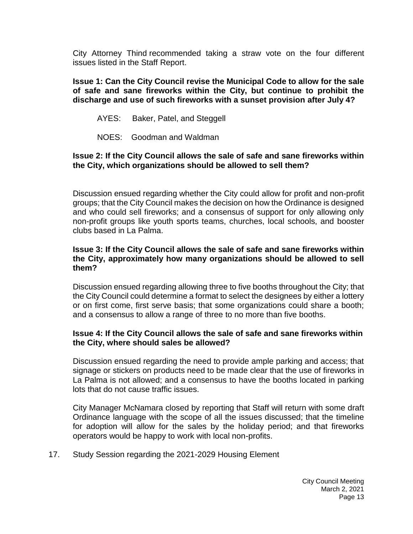City Attorney Thind recommended taking a straw vote on the four different issues listed in the Staff Report.

**Issue 1: Can the City Council revise the Municipal Code to allow for the sale of safe and sane fireworks within the City, but continue to prohibit the discharge and use of such fireworks with a sunset provision after July 4?**

- AYES: Baker, Patel, and Steggell
- NOES: Goodman and Waldman

### **Issue 2: If the City Council allows the sale of safe and sane fireworks within the City, which organizations should be allowed to sell them?**

Discussion ensued regarding whether the City could allow for profit and non-profit groups; that the City Council makes the decision on how the Ordinance is designed and who could sell fireworks; and a consensus of support for only allowing only non-profit groups like youth sports teams, churches, local schools, and booster clubs based in La Palma.

#### **Issue 3: If the City Council allows the sale of safe and sane fireworks within the City, approximately how many organizations should be allowed to sell them?**

Discussion ensued regarding allowing three to five booths throughout the City; that the City Council could determine a format to select the designees by either a lottery or on first come, first serve basis; that some organizations could share a booth; and a consensus to allow a range of three to no more than five booths.

## **Issue 4: If the City Council allows the sale of safe and sane fireworks within the City, where should sales be allowed?**

Discussion ensued regarding the need to provide ample parking and access; that signage or stickers on products need to be made clear that the use of fireworks in La Palma is not allowed; and a consensus to have the booths located in parking lots that do not cause traffic issues.

City Manager McNamara closed by reporting that Staff will return with some draft Ordinance language with the scope of all the issues discussed; that the timeline for adoption will allow for the sales by the holiday period; and that fireworks operators would be happy to work with local non-profits.

17. [Study Session regarding the 2021-2029 Housing Element](https://lapalma.granicus.com/MediaPlayer.php?view_id=&clip_id=1257&meta_id=168759)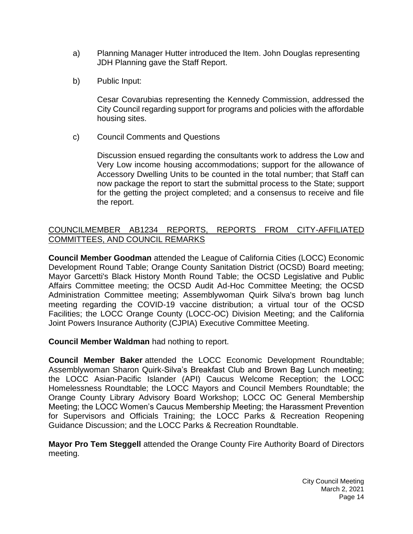- a) [Planning Manager Hutter introduced the Item. John Douglas representing](https://lapalma.granicus.com/MediaPlayer.php?view_id=&clip_id=1257&meta_id=168760)  [JDH Planning gave the Staff Report.](https://lapalma.granicus.com/MediaPlayer.php?view_id=&clip_id=1257&meta_id=168760)
- b) [Public Input:](https://lapalma.granicus.com/MediaPlayer.php?view_id=&clip_id=1257&meta_id=168761)

Cesar Covarubias representing the Kennedy Commission, addressed the City Council regarding support for programs and policies with the affordable housing sites.

c) [Council Comments and Questions](https://lapalma.granicus.com/MediaPlayer.php?view_id=&clip_id=1257&meta_id=168762)

Discussion ensued regarding the consultants work to address the Low and Very Low income housing accommodations; support for the allowance of Accessory Dwelling Units to be counted in the total number; that Staff can now package the report to start the submittal process to the State; support for the getting the project completed; and a consensus to receive and file the report.

# [COUNCILMEMBER AB1234 REPORTS, REPORTS FROM CITY-AFFILIATED](https://lapalma.granicus.com/MediaPlayer.php?view_id=&clip_id=1257&meta_id=168763)  [COMMITTEES, AND COUNCIL REMARKS](https://lapalma.granicus.com/MediaPlayer.php?view_id=&clip_id=1257&meta_id=168763)

**Council Member Goodman** attended the League of California Cities (LOCC) Economic Development Round Table; Orange County Sanitation District (OCSD) Board meeting; Mayor Garcetti's Black History Month Round Table; the OCSD Legislative and Public Affairs Committee meeting; the OCSD Audit Ad-Hoc Committee Meeting; the OCSD Administration Committee meeting; Assemblywoman Quirk Silva's brown bag lunch meeting regarding the COVID-19 vaccine distribution; a virtual tour of the OCSD Facilities; the LOCC Orange County (LOCC-OC) Division Meeting; and the California Joint Powers Insurance Authority (CJPIA) Executive Committee Meeting.

**Council Member Waldman** had nothing to report.

**Council Member Baker** attended the LOCC Economic Development Roundtable; Assemblywoman Sharon Quirk-Silva's Breakfast Club and Brown Bag Lunch meeting; the LOCC Asian-Pacific Islander (API) Caucus Welcome Reception; the LOCC Homelessness Roundtable; the LOCC Mayors and Council Members Roundtable; the Orange County Library Advisory Board Workshop; LOCC OC General Membership Meeting; the LOCC Women's Caucus Membership Meeting; the Harassment Prevention for Supervisors and Officials Training; the LOCC Parks & Recreation Reopening Guidance Discussion; and the LOCC Parks & Recreation Roundtable.

**Mayor Pro Tem Steggell** attended the Orange County Fire Authority Board of Directors meeting.